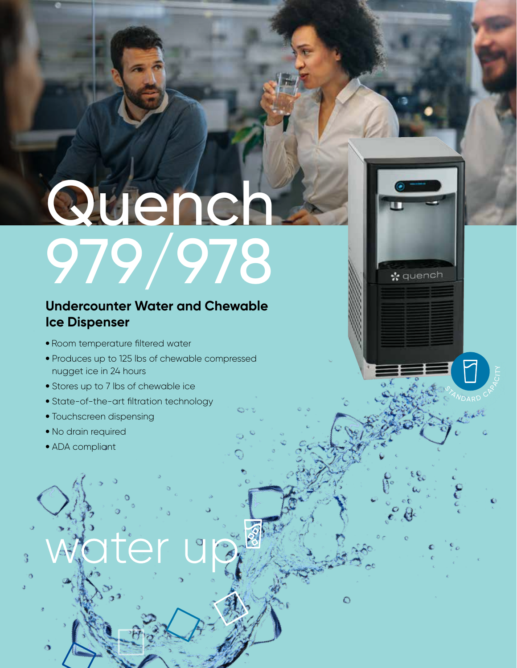# Quench 979/978

STAN D A RD

☆ quench

 $\circ$ 

**ARACITY** 

### **Undercounter Water and Chewable Ice Dispenser**

- Room temperature filtered water
- Produces up to 125 lbs of chewable compressed nugget ice in 24 hours
- Stores up to 7 lbs of chewable ice
- State-of-the-art filtration technology
- Touchscreen dispensing
- No drain required
- ADA compliant